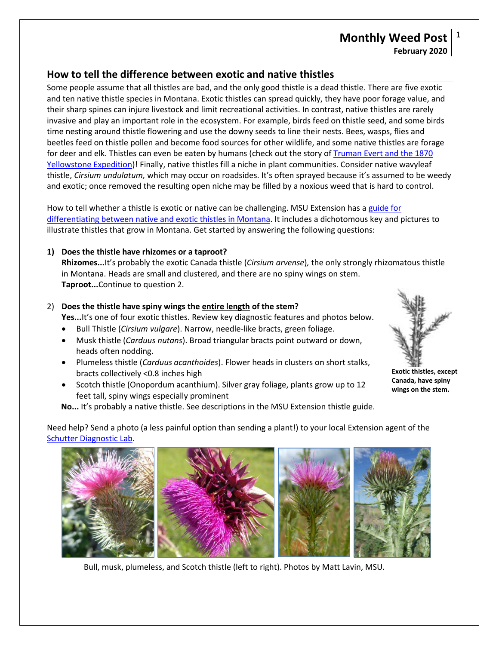# **Monthly Weed Post** 1 **February 2020**

## **How to tell the difference between exotic and native thistles**

 Some people assume that all thistles are bad, and the only good thistle is a dead thistle. There are five exotic and ten native thistle species in Montana. Exotic thistles can spread quickly, they have poor forage value, and invasive and play an important role in the ecosystem. For example, birds feed on thistle seed, and some birds for deer and elk. Thistles can even be eaten by humans (check out the story of Truman Evert and the 1870  thistle, *Cirsium undulatum,* which may occur on roadsides. It's often sprayed because it's assumed to be weedy and exotic; once removed the resulting open niche may be filled by a noxious weed that is hard to control. their sharp spines can injure livestock and limit recreational activities. In contrast, native thistles are rarely time nesting around thistle flowering and use the downy seeds to line their nests. Bees, wasps, flies and beetles feed on thistle pollen and become food sources for other wildlife, and some native thistles are forage [Yellowstone Expedition\)](https://www.yellowstonepark.com/park/truman-everts)! Finally, native thistles fill a niche in plant communities. Consider native wavyleaf

How to tell whether a thistle is exotic or native can be challenging. MSU Extension has a guide for illustrate thistles that grow in Montana. Get started by answering the following questions: [differentiating between native and exotic thistles in Montana.](https://store.msuextension.org/Products/Guide-to-Exotic-Thistles-in-Montana-and-How-to-Differentiate-from-Native-Thistles__EB0221.aspx) It includes a dichotomous key and pictures to

### **1) Does the thistle have rhizomes or a taproot?**

 **Rhizomes...**It's probably the exotic Canada thistle (*Cirsium arvense*)*,* the only strongly rhizomatous thistle in Montana. Heads are small and clustered, and there are no spiny wings on stem. **Taproot...**Continue to question 2.

## 2) **Does the thistle have spiny wings the entire length of the stem?**

Yes...It's one of four exotic thistles. Review key diagnostic features and photos below.

- Bull Thistle (*Cirsium vulgare*). Narrow, needle-like bracts, green foliage.
- heads often nodding. • Musk thistle (*Carduus nutans*). Broad triangular bracts point outward or down,
- • Plumeless thistle (*Carduus acanthoides*). Flower heads in clusters on short stalks, bracts collectively <0.8 inches high
- • Scotch thistle (Onopordum acanthium). Silver gray foliage, plants grow up to 12 feet tall, spiny wings especially prominent

**No...** It's probably a native thistle. See descriptions in the MSU Extension thistle guide.

 Need help? Send a photo (a less painful option than sending a plant!) to your local Extension agent of the [Schutter Diagnostic Lab.](http://diagnostics.montana.edu/)



Bull, musk, plumeless, and Scotch thistle (left to right). Photos by Matt Lavin, MSU.



**Exotic thistles, except Canada, have spiny wings on the stem.**